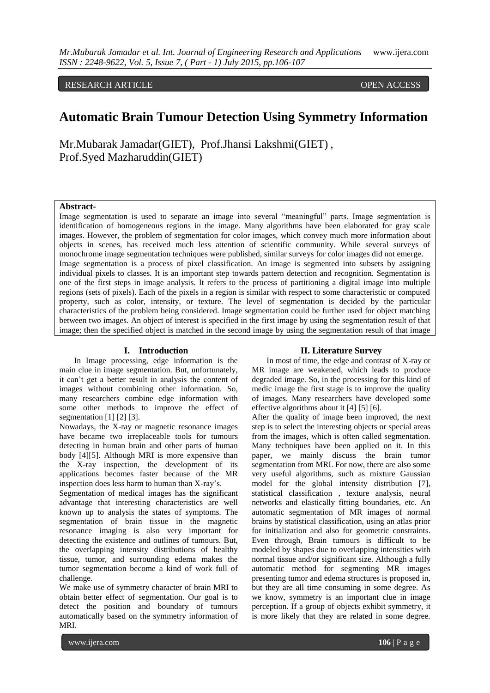RESEARCH ARTICLE OPEN ACCESS

# **Automatic Brain Tumour Detection Using Symmetry Information**

Mr.Mubarak Jamadar(GIET), Prof.Jhansi Lakshmi(GIET) , Prof.Syed Mazharuddin(GIET)

## **Abstract-**

Image segmentation is used to separate an image into several "meaningful" parts. Image segmentation is identification of homogeneous regions in the image. Many algorithms have been elaborated for gray scale images. However, the problem of segmentation for color images, which convey much more information about objects in scenes, has received much less attention of scientific community. While several surveys of monochrome image segmentation techniques were published, similar surveys for color images did not emerge. Image segmentation is a process of pixel classification. An image is segmented into subsets by assigning individual pixels to classes. It is an important step towards pattern detection and recognition. Segmentation is one of the first steps in image analysis. It refers to the process of partitioning a digital image into multiple regions (sets of pixels). Each of the pixels in a region is similar with respect to some characteristic or computed property, such as color, intensity, or texture. The level of segmentation is decided by the particular characteristics of the problem being considered. Image segmentation could be further used for object matching between two images. An object of interest is specified in the first image by using the segmentation result of that image; then the specified object is matched in the second image by using the segmentation result of that image

#### **I. Introduction**

In Image processing, edge information is the main clue in image segmentation. But, unfortunately, it can't get a better result in analysis the content of images without combining other information. So, many researchers combine edge information with some other methods to improve the effect of segmentation [1] [2] [3].

Nowadays, the X-ray or magnetic resonance images have became two irreplaceable tools for tumours detecting in human brain and other parts of human body [4][5]. Although MRI is more expensive than the X-ray inspection, the development of its applications becomes faster because of the MR inspection does less harm to human than X-ray's.

Segmentation of medical images has the significant advantage that interesting characteristics are well known up to analysis the states of symptoms. The segmentation of brain tissue in the magnetic resonance imaging is also very important for detecting the existence and outlines of tumours. But, the overlapping intensity distributions of healthy tissue, tumor, and surrounding edema makes the tumor segmentation become a kind of work full of challenge.

We make use of symmetry character of brain MRI to obtain better effect of segmentation. Our goal is to detect the position and boundary of tumours automatically based on the symmetry information of MRI.

#### **II. Literature Survey**

In most of time, the edge and contrast of X-ray or MR image are weakened, which leads to produce degraded image. So, in the processing for this kind of medic image the first stage is to improve the quality of images. Many researchers have developed some effective algorithms about it [4] [5] [6].

After the quality of image been improved, the next step is to select the interesting objects or special areas from the images, which is often called segmentation. Many techniques have been applied on it. In this paper, we mainly discuss the brain tumor segmentation from MRI. For now, there are also some very useful algorithms, such as mixture Gaussian model for the global intensity distribution [7], statistical classification , texture analysis, neural networks and elastically fitting boundaries, etc. An automatic segmentation of MR images of normal brains by statistical classification, using an atlas prior for initialization and also for geometric constraints. Even through, Brain tumours is difficult to be modeled by shapes due to overlapping intensities with normal tissue and/or significant size. Although a fully automatic method for segmenting MR images presenting tumor and edema structures is proposed in, but they are all time consuming in some degree. As we know, symmetry is an important clue in image perception. If a group of objects exhibit symmetry, it is more likely that they are related in some degree.